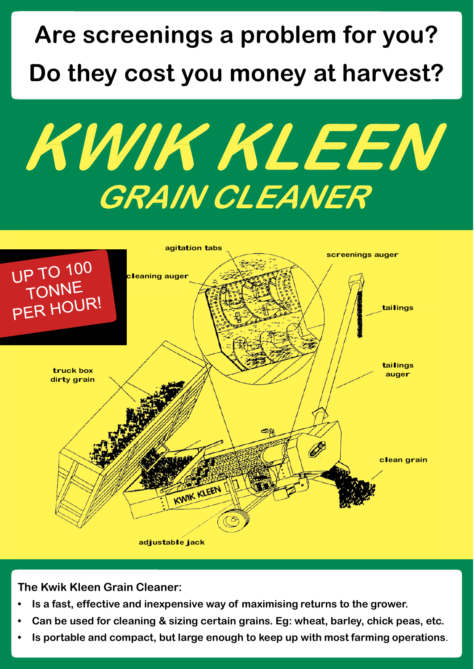# **Are screenings a problem for you? Do they cost you money at harvest?**

KWIK KLEEN GRAIN CLEANER



**The Kwik Kleen Grain Cleaner:**

- **Is a fast, effective and inexpensive way of maximising returns to the grower.**
- **Can be used for cleaning & sizing certain grains. Eg: wheat, barley, chick peas, etc.**
- **Is portable and compact, but large enough to keep up with most farming operations**.